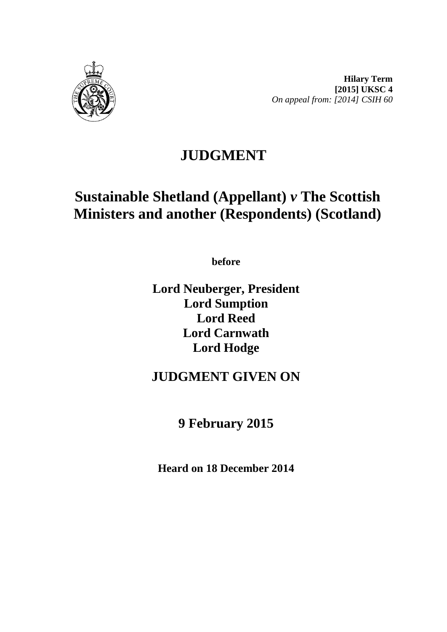

# **JUDGMENT**

# **Sustainable Shetland (Appellant)** *v* **The Scottish Ministers and another (Respondents) (Scotland)**

**before**

**Lord Neuberger, President Lord Sumption Lord Reed Lord Carnwath Lord Hodge**

## **JUDGMENT GIVEN ON**

## **9 February 2015**

**Heard on 18 December 2014**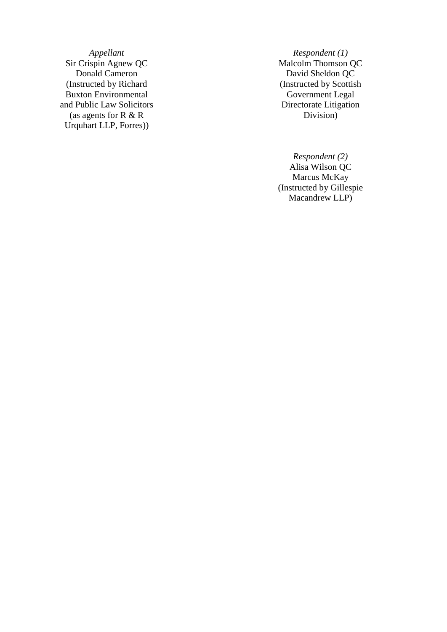*Appellant Respondent (1)*<br>Sir Crispin Agnew QC Malcolm Thomson (Instructed by Richard Buxton Environmental and Public Law Solicitors (as agents for R & R Urquhart LLP, Forres) )

Sir Crispin Agnew QC Malcolm Thomson QC David Sheldon QC (Instructed by Scottish Government Legal Directorate Litigation Division )

> *Respondent (2)* Alisa Wilson QC Marcus McKay (Instructed by Gillespie Macandrew LLP )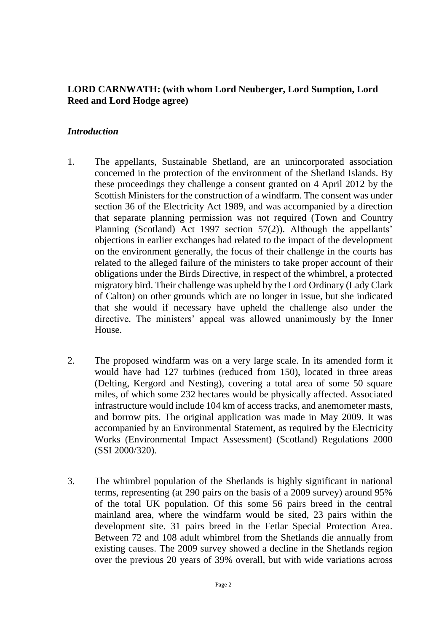#### **LORD CARNWATH: (with whom Lord Neuberger, Lord Sumption, Lord Reed and Lord Hodge agree)**

#### *Introduction*

- 1. The appellants, Sustainable Shetland, are an unincorporated association concerned in the protection of the environment of the Shetland Islands. By these proceedings they challenge a consent granted on 4 April 2012 by the Scottish Ministers for the construction of a windfarm. The consent was under section 36 of the Electricity Act 1989, and was accompanied by a direction that separate planning permission was not required (Town and Country Planning (Scotland) Act 1997 section 57(2)). Although the appellants' objections in earlier exchanges had related to the impact of the development on the environment generally, the focus of their challenge in the courts has related to the alleged failure of the ministers to take proper account of their obligations under the Birds Directive, in respect of the whimbrel, a protected migratory bird. Their challenge was upheld by the Lord Ordinary (Lady Clark of Calton) on other grounds which are no longer in issue, but she indicated that she would if necessary have upheld the challenge also under the directive. The ministers' appeal was allowed unanimously by the Inner House.
- 2. The proposed windfarm was on a very large scale. In its amended form it would have had 127 turbines (reduced from 150), located in three areas (Delting, Kergord and Nesting), covering a total area of some 50 square miles, of which some 232 hectares would be physically affected. Associated infrastructure would include 104 km of access tracks, and anemometer masts, and borrow pits. The original application was made in May 2009. It was accompanied by an Environmental Statement, as required by the Electricity Works (Environmental Impact Assessment) (Scotland) Regulations 2000 (SSI 2000/320).
- 3. The whimbrel population of the Shetlands is highly significant in national terms, representing (at 290 pairs on the basis of a 2009 survey) around 95% of the total UK population. Of this some 56 pairs breed in the central mainland area, where the windfarm would be sited, 23 pairs within the development site. 31 pairs breed in the Fetlar Special Protection Area. Between 72 and 108 adult whimbrel from the Shetlands die annually from existing causes. The 2009 survey showed a decline in the Shetlands region over the previous 20 years of 39% overall, but with wide variations across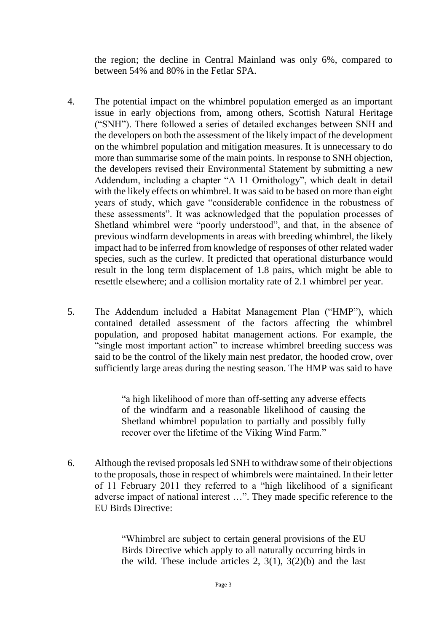the region; the decline in Central Mainland was only 6%, compared to between 54% and 80% in the Fetlar SPA.

- 4. The potential impact on the whimbrel population emerged as an important issue in early objections from, among others, Scottish Natural Heritage ("SNH"). There followed a series of detailed exchanges between SNH and the developers on both the assessment of the likely impact of the development on the whimbrel population and mitigation measures. It is unnecessary to do more than summarise some of the main points. In response to SNH objection, the developers revised their Environmental Statement by submitting a new Addendum, including a chapter "A 11 Ornithology", which dealt in detail with the likely effects on whimbrel. It was said to be based on more than eight years of study, which gave "considerable confidence in the robustness of these assessments". It was acknowledged that the population processes of Shetland whimbrel were "poorly understood", and that, in the absence of previous windfarm developments in areas with breeding whimbrel, the likely impact had to be inferred from knowledge of responses of other related wader species, such as the curlew. It predicted that operational disturbance would result in the long term displacement of 1.8 pairs, which might be able to resettle elsewhere; and a collision mortality rate of 2.1 whimbrel per year.
- 5. The Addendum included a Habitat Management Plan ("HMP"), which contained detailed assessment of the factors affecting the whimbrel population, and proposed habitat management actions. For example, the "single most important action" to increase whimbrel breeding success was said to be the control of the likely main nest predator, the hooded crow, over sufficiently large areas during the nesting season. The HMP was said to have

"a high likelihood of more than off-setting any adverse effects of the windfarm and a reasonable likelihood of causing the Shetland whimbrel population to partially and possibly fully recover over the lifetime of the Viking Wind Farm."

6. Although the revised proposals led SNH to withdraw some of their objections to the proposals, those in respect of whimbrels were maintained. In their letter of 11 February 2011 they referred to a "high likelihood of a significant adverse impact of national interest …". They made specific reference to the EU Birds Directive:

> "Whimbrel are subject to certain general provisions of the EU Birds Directive which apply to all naturally occurring birds in the wild. These include articles 2,  $3(1)$ ,  $3(2)(b)$  and the last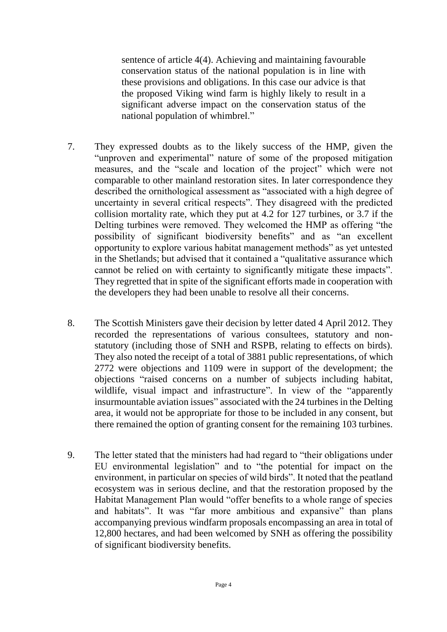sentence of article 4(4). Achieving and maintaining favourable conservation status of the national population is in line with these provisions and obligations. In this case our advice is that the proposed Viking wind farm is highly likely to result in a significant adverse impact on the conservation status of the national population of whimbrel."

- 7. They expressed doubts as to the likely success of the HMP, given the "unproven and experimental" nature of some of the proposed mitigation measures, and the "scale and location of the project" which were not comparable to other mainland restoration sites. In later correspondence they described the ornithological assessment as "associated with a high degree of uncertainty in several critical respects". They disagreed with the predicted collision mortality rate, which they put at 4.2 for 127 turbines, or 3.7 if the Delting turbines were removed. They welcomed the HMP as offering "the possibility of significant biodiversity benefits" and as "an excellent opportunity to explore various habitat management methods" as yet untested in the Shetlands; but advised that it contained a "qualitative assurance which cannot be relied on with certainty to significantly mitigate these impacts". They regretted that in spite of the significant efforts made in cooperation with the developers they had been unable to resolve all their concerns.
- 8. The Scottish Ministers gave their decision by letter dated 4 April 2012. They recorded the representations of various consultees, statutory and nonstatutory (including those of SNH and RSPB, relating to effects on birds). They also noted the receipt of a total of 3881 public representations, of which 2772 were objections and 1109 were in support of the development; the objections "raised concerns on a number of subjects including habitat, wildlife, visual impact and infrastructure". In view of the "apparently insurmountable aviation issues" associated with the 24 turbines in the Delting area, it would not be appropriate for those to be included in any consent, but there remained the option of granting consent for the remaining 103 turbines.
- 9. The letter stated that the ministers had had regard to "their obligations under EU environmental legislation" and to "the potential for impact on the environment, in particular on species of wild birds". It noted that the peatland ecosystem was in serious decline, and that the restoration proposed by the Habitat Management Plan would "offer benefits to a whole range of species and habitats". It was "far more ambitious and expansive" than plans accompanying previous windfarm proposals encompassing an area in total of 12,800 hectares, and had been welcomed by SNH as offering the possibility of significant biodiversity benefits.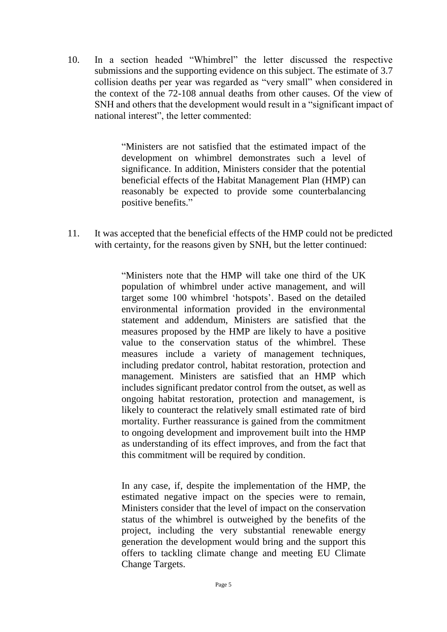10. In a section headed "Whimbrel" the letter discussed the respective submissions and the supporting evidence on this subject. The estimate of 3.7 collision deaths per year was regarded as "very small" when considered in the context of the 72-108 annual deaths from other causes. Of the view of SNH and others that the development would result in a "significant impact of national interest", the letter commented:

> "Ministers are not satisfied that the estimated impact of the development on whimbrel demonstrates such a level of significance. In addition, Ministers consider that the potential beneficial effects of the Habitat Management Plan (HMP) can reasonably be expected to provide some counterbalancing positive benefits."

11. It was accepted that the beneficial effects of the HMP could not be predicted with certainty, for the reasons given by SNH, but the letter continued:

> "Ministers note that the HMP will take one third of the UK population of whimbrel under active management, and will target some 100 whimbrel 'hotspots'. Based on the detailed environmental information provided in the environmental statement and addendum, Ministers are satisfied that the measures proposed by the HMP are likely to have a positive value to the conservation status of the whimbrel. These measures include a variety of management techniques, including predator control, habitat restoration, protection and management. Ministers are satisfied that an HMP which includes significant predator control from the outset, as well as ongoing habitat restoration, protection and management, is likely to counteract the relatively small estimated rate of bird mortality. Further reassurance is gained from the commitment to ongoing development and improvement built into the HMP as understanding of its effect improves, and from the fact that this commitment will be required by condition.

> In any case, if, despite the implementation of the HMP, the estimated negative impact on the species were to remain, Ministers consider that the level of impact on the conservation status of the whimbrel is outweighed by the benefits of the project, including the very substantial renewable energy generation the development would bring and the support this offers to tackling climate change and meeting EU Climate Change Targets.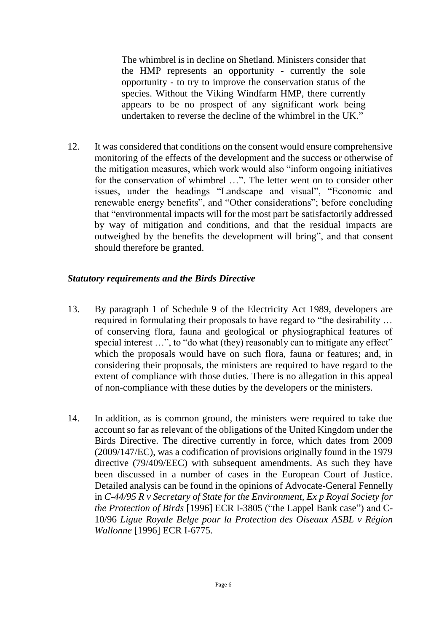The whimbrel is in decline on Shetland. Ministers consider that the HMP represents an opportunity - currently the sole opportunity - to try to improve the conservation status of the species. Without the Viking Windfarm HMP, there currently appears to be no prospect of any significant work being undertaken to reverse the decline of the whimbrel in the UK."

12. It was considered that conditions on the consent would ensure comprehensive monitoring of the effects of the development and the success or otherwise of the mitigation measures, which work would also "inform ongoing initiatives for the conservation of whimbrel …". The letter went on to consider other issues, under the headings "Landscape and visual", "Economic and renewable energy benefits", and "Other considerations"; before concluding that "environmental impacts will for the most part be satisfactorily addressed by way of mitigation and conditions, and that the residual impacts are outweighed by the benefits the development will bring", and that consent should therefore be granted.

#### *Statutory requirements and the Birds Directive*

- 13. By paragraph 1 of Schedule 9 of the Electricity Act 1989, developers are required in formulating their proposals to have regard to "the desirability … of conserving flora, fauna and geological or physiographical features of special interest ...", to "do what (they) reasonably can to mitigate any effect" which the proposals would have on such flora, fauna or features; and, in considering their proposals, the ministers are required to have regard to the extent of compliance with those duties. There is no allegation in this appeal of non-compliance with these duties by the developers or the ministers.
- 14. In addition, as is common ground, the ministers were required to take due account so far as relevant of the obligations of the United Kingdom under the Birds Directive. The directive currently in force, which dates from 2009 (2009/147/EC), was a codification of provisions originally found in the 1979 directive (79/409/EEC) with subsequent amendments. As such they have been discussed in a number of cases in the European Court of Justice. Detailed analysis can be found in the opinions of Advocate-General Fennelly in *C-44/95 R v Secretary of State for the Environment, Ex p Royal Society for the Protection of Birds* [1996] ECR I-3805 ("the Lappel Bank case") and C-10/96 *Ligue Royale Belge pour la Protection des Oiseaux ASBL v Région Wallonne* [1996] ECR I-6775.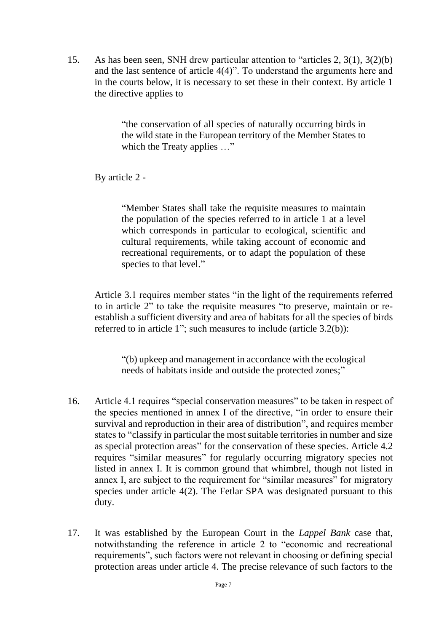15. As has been seen, SNH drew particular attention to "articles 2, 3(1), 3(2)(b) and the last sentence of article 4(4)". To understand the arguments here and in the courts below, it is necessary to set these in their context. By article 1 the directive applies to

> "the conservation of all species of naturally occurring birds in the wild state in the European territory of the Member States to which the Treaty applies ..."

By article 2 -

"Member States shall take the requisite measures to maintain the population of the species referred to in article 1 at a level which corresponds in particular to ecological, scientific and cultural requirements, while taking account of economic and recreational requirements, or to adapt the population of these species to that level."

Article 3.1 requires member states "in the light of the requirements referred to in article 2" to take the requisite measures "to preserve, maintain or reestablish a sufficient diversity and area of habitats for all the species of birds referred to in article 1"; such measures to include (article 3.2(b)):

"(b) upkeep and management in accordance with the ecological needs of habitats inside and outside the protected zones;"

- 16. Article 4.1 requires "special conservation measures" to be taken in respect of the species mentioned in annex I of the directive, "in order to ensure their survival and reproduction in their area of distribution", and requires member states to "classify in particular the most suitable territories in number and size as special protection areas" for the conservation of these species. Article 4.2 requires "similar measures" for regularly occurring migratory species not listed in annex I. It is common ground that whimbrel, though not listed in annex I, are subject to the requirement for "similar measures" for migratory species under article 4(2). The Fetlar SPA was designated pursuant to this duty.
- 17. It was established by the European Court in the *Lappel Bank* case that, notwithstanding the reference in article 2 to "economic and recreational requirements", such factors were not relevant in choosing or defining special protection areas under article 4. The precise relevance of such factors to the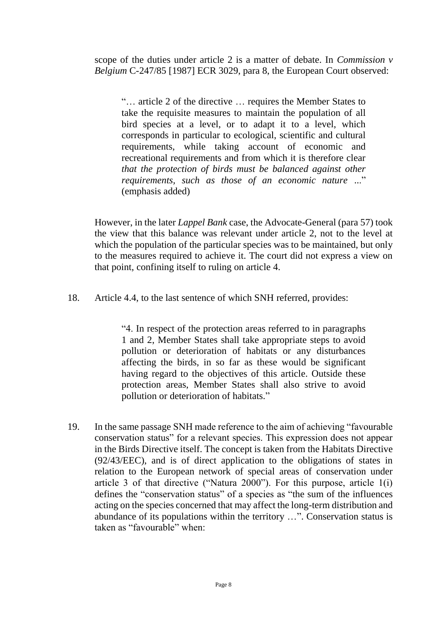scope of the duties under article 2 is a matter of debate. In *Commission v Belgium* C-247/85 [1987] ECR 3029, para 8, the European Court observed:

"… article 2 of the directive … requires the Member States to take the requisite measures to maintain the population of all bird species at a level, or to adapt it to a level, which corresponds in particular to ecological, scientific and cultural requirements, while taking account of economic and recreational requirements and from which it is therefore clear *that the protection of birds must be balanced against other requirements, such as those of an economic nature* ..." (emphasis added)

However, in the later *Lappel Bank* case, the Advocate-General (para 57) took the view that this balance was relevant under article 2, not to the level at which the population of the particular species was to be maintained, but only to the measures required to achieve it. The court did not express a view on that point, confining itself to ruling on article 4.

18. Article 4.4, to the last sentence of which SNH referred, provides:

"4. In respect of the protection areas referred to in paragraphs 1 and 2, Member States shall take appropriate steps to avoid pollution or deterioration of habitats or any disturbances affecting the birds, in so far as these would be significant having regard to the objectives of this article. Outside these protection areas, Member States shall also strive to avoid pollution or deterioration of habitats."

19. In the same passage SNH made reference to the aim of achieving "favourable conservation status" for a relevant species. This expression does not appear in the Birds Directive itself. The concept is taken from the Habitats Directive (92/43/EEC), and is of direct application to the obligations of states in relation to the European network of special areas of conservation under article 3 of that directive ("Natura 2000"). For this purpose, article 1(i) defines the "conservation status" of a species as "the sum of the influences acting on the species concerned that may affect the long-term distribution and abundance of its populations within the territory …". Conservation status is taken as "favourable" when: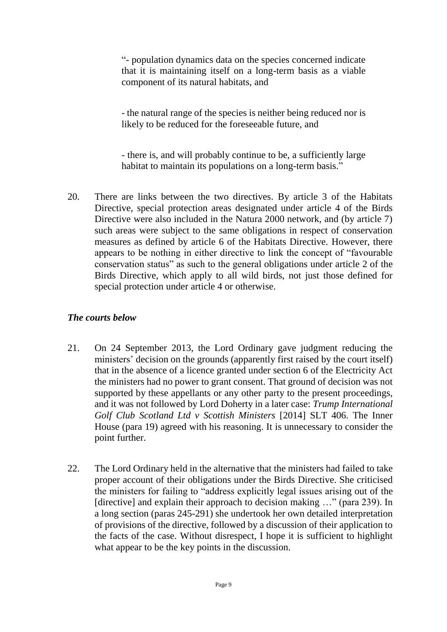"- population dynamics data on the species concerned indicate that it is maintaining itself on a long-term basis as a viable component of its natural habitats, and

- the natural range of the species is neither being reduced nor is likely to be reduced for the foreseeable future, and

- there is, and will probably continue to be, a sufficiently large habitat to maintain its populations on a long-term basis."

20. There are links between the two directives. By article 3 of the Habitats Directive, special protection areas designated under article 4 of the Birds Directive were also included in the Natura 2000 network, and (by article 7) such areas were subject to the same obligations in respect of conservation measures as defined by article 6 of the Habitats Directive. However, there appears to be nothing in either directive to link the concept of "favourable conservation status" as such to the general obligations under article 2 of the Birds Directive, which apply to all wild birds, not just those defined for special protection under article 4 or otherwise.

#### *The courts below*

- 21. On 24 September 2013, the Lord Ordinary gave judgment reducing the ministers' decision on the grounds (apparently first raised by the court itself) that in the absence of a licence granted under section 6 of the Electricity Act the ministers had no power to grant consent. That ground of decision was not supported by these appellants or any other party to the present proceedings, and it was not followed by Lord Doherty in a later case: *Trump International Golf Club Scotland Ltd v Scottish Ministers* [2014] SLT 406. The Inner House (para 19) agreed with his reasoning. It is unnecessary to consider the point further.
- 22. The Lord Ordinary held in the alternative that the ministers had failed to take proper account of their obligations under the Birds Directive. She criticised the ministers for failing to "address explicitly legal issues arising out of the [directive] and explain their approach to decision making ..." (para 239). In a long section (paras 245-291) she undertook her own detailed interpretation of provisions of the directive, followed by a discussion of their application to the facts of the case. Without disrespect, I hope it is sufficient to highlight what appear to be the key points in the discussion.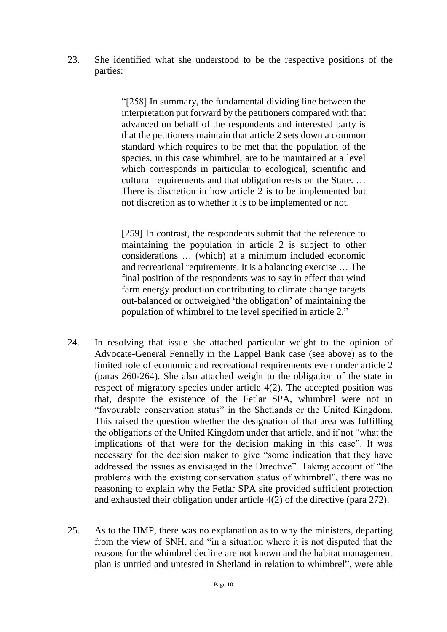23. She identified what she understood to be the respective positions of the parties:

> "[258] In summary, the fundamental dividing line between the interpretation put forward by the petitioners compared with that advanced on behalf of the respondents and interested party is that the petitioners maintain that article 2 sets down a common standard which requires to be met that the population of the species, in this case whimbrel, are to be maintained at a level which corresponds in particular to ecological, scientific and cultural requirements and that obligation rests on the State. … There is discretion in how article 2 is to be implemented but not discretion as to whether it is to be implemented or not.

> [259] In contrast, the respondents submit that the reference to maintaining the population in article 2 is subject to other considerations … (which) at a minimum included economic and recreational requirements. It is a balancing exercise … The final position of the respondents was to say in effect that wind farm energy production contributing to climate change targets out-balanced or outweighed 'the obligation' of maintaining the population of whimbrel to the level specified in article 2."

- 24. In resolving that issue she attached particular weight to the opinion of Advocate-General Fennelly in the Lappel Bank case (see above) as to the limited role of economic and recreational requirements even under article 2 (paras 260-264). She also attached weight to the obligation of the state in respect of migratory species under article 4(2). The accepted position was that, despite the existence of the Fetlar SPA, whimbrel were not in "favourable conservation status" in the Shetlands or the United Kingdom. This raised the question whether the designation of that area was fulfilling the obligations of the United Kingdom under that article, and if not "what the implications of that were for the decision making in this case". It was necessary for the decision maker to give "some indication that they have addressed the issues as envisaged in the Directive". Taking account of "the problems with the existing conservation status of whimbrel", there was no reasoning to explain why the Fetlar SPA site provided sufficient protection and exhausted their obligation under article 4(2) of the directive (para 272).
- 25. As to the HMP, there was no explanation as to why the ministers, departing from the view of SNH, and "in a situation where it is not disputed that the reasons for the whimbrel decline are not known and the habitat management plan is untried and untested in Shetland in relation to whimbrel", were able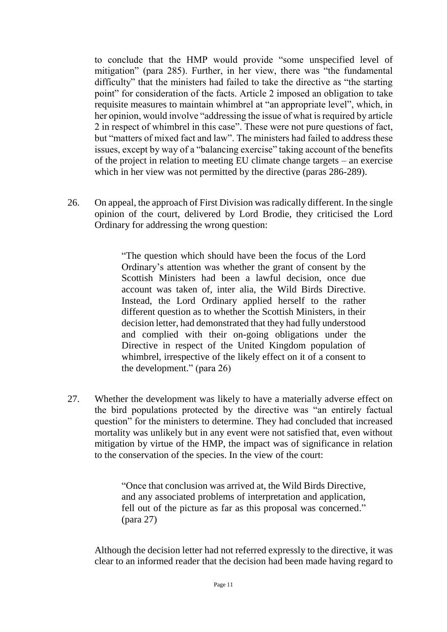to conclude that the HMP would provide "some unspecified level of mitigation" (para 285). Further, in her view, there was "the fundamental difficulty" that the ministers had failed to take the directive as "the starting point" for consideration of the facts. Article 2 imposed an obligation to take requisite measures to maintain whimbrel at "an appropriate level", which, in her opinion, would involve "addressing the issue of what is required by article 2 in respect of whimbrel in this case". These were not pure questions of fact, but "matters of mixed fact and law". The ministers had failed to address these issues, except by way of a "balancing exercise" taking account of the benefits of the project in relation to meeting EU climate change targets – an exercise which in her view was not permitted by the directive (paras 286-289).

26. On appeal, the approach of First Division was radically different. In the single opinion of the court, delivered by Lord Brodie, they criticised the Lord Ordinary for addressing the wrong question:

> "The question which should have been the focus of the Lord Ordinary's attention was whether the grant of consent by the Scottish Ministers had been a lawful decision, once due account was taken of, inter alia, the Wild Birds Directive. Instead, the Lord Ordinary applied herself to the rather different question as to whether the Scottish Ministers, in their decision letter, had demonstrated that they had fully understood and complied with their on-going obligations under the Directive in respect of the United Kingdom population of whimbrel, irrespective of the likely effect on it of a consent to the development." (para 26)

27. Whether the development was likely to have a materially adverse effect on the bird populations protected by the directive was "an entirely factual question" for the ministers to determine. They had concluded that increased mortality was unlikely but in any event were not satisfied that, even without mitigation by virtue of the HMP, the impact was of significance in relation to the conservation of the species. In the view of the court:

> "Once that conclusion was arrived at, the Wild Birds Directive, and any associated problems of interpretation and application, fell out of the picture as far as this proposal was concerned." (para 27)

Although the decision letter had not referred expressly to the directive, it was clear to an informed reader that the decision had been made having regard to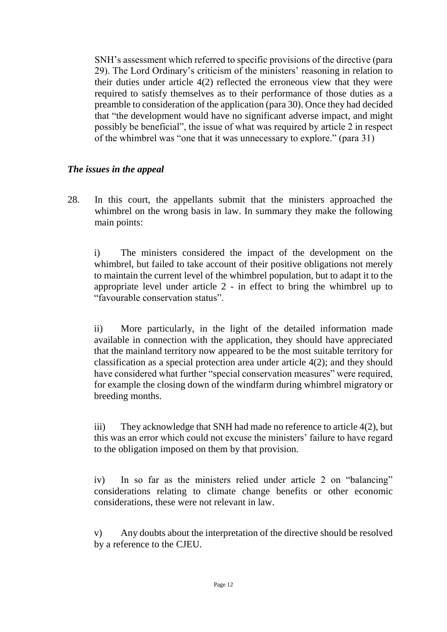SNH's assessment which referred to specific provisions of the directive (para 29). The Lord Ordinary's criticism of the ministers' reasoning in relation to their duties under article 4(2) reflected the erroneous view that they were required to satisfy themselves as to their performance of those duties as a preamble to consideration of the application (para 30). Once they had decided that "the development would have no significant adverse impact, and might possibly be beneficial", the issue of what was required by article 2 in respect of the whimbrel was "one that it was unnecessary to explore." (para 31)

#### *The issues in the appeal*

28. In this court, the appellants submit that the ministers approached the whimbrel on the wrong basis in law. In summary they make the following main points:

i) The ministers considered the impact of the development on the whimbrel, but failed to take account of their positive obligations not merely to maintain the current level of the whimbrel population, but to adapt it to the appropriate level under article 2 - in effect to bring the whimbrel up to "favourable conservation status".

ii) More particularly, in the light of the detailed information made available in connection with the application, they should have appreciated that the mainland territory now appeared to be the most suitable territory for classification as a special protection area under article 4(2); and they should have considered what further "special conservation measures" were required, for example the closing down of the windfarm during whimbrel migratory or breeding months.

iii) They acknowledge that SNH had made no reference to article 4(2), but this was an error which could not excuse the ministers' failure to have regard to the obligation imposed on them by that provision.

iv) In so far as the ministers relied under article 2 on "balancing" considerations relating to climate change benefits or other economic considerations, these were not relevant in law.

v) Any doubts about the interpretation of the directive should be resolved by a reference to the CJEU.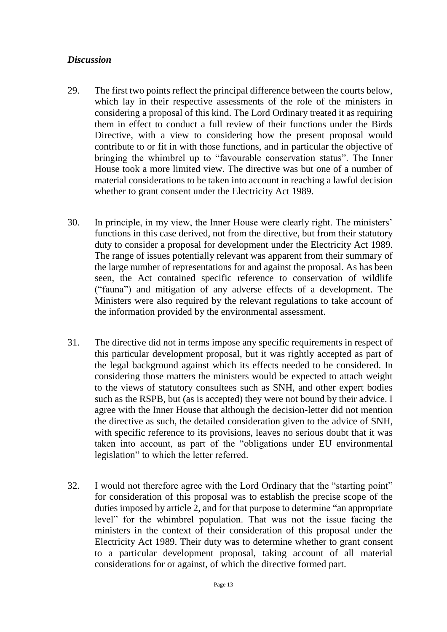#### *Discussion*

- 29. The first two points reflect the principal difference between the courts below, which lay in their respective assessments of the role of the ministers in considering a proposal of this kind. The Lord Ordinary treated it as requiring them in effect to conduct a full review of their functions under the Birds Directive, with a view to considering how the present proposal would contribute to or fit in with those functions, and in particular the objective of bringing the whimbrel up to "favourable conservation status". The Inner House took a more limited view. The directive was but one of a number of material considerations to be taken into account in reaching a lawful decision whether to grant consent under the Electricity Act 1989.
- 30. In principle, in my view, the Inner House were clearly right. The ministers' functions in this case derived, not from the directive, but from their statutory duty to consider a proposal for development under the Electricity Act 1989. The range of issues potentially relevant was apparent from their summary of the large number of representations for and against the proposal. As has been seen, the Act contained specific reference to conservation of wildlife ("fauna") and mitigation of any adverse effects of a development. The Ministers were also required by the relevant regulations to take account of the information provided by the environmental assessment.
- 31. The directive did not in terms impose any specific requirements in respect of this particular development proposal, but it was rightly accepted as part of the legal background against which its effects needed to be considered. In considering those matters the ministers would be expected to attach weight to the views of statutory consultees such as SNH, and other expert bodies such as the RSPB, but (as is accepted) they were not bound by their advice. I agree with the Inner House that although the decision-letter did not mention the directive as such, the detailed consideration given to the advice of SNH, with specific reference to its provisions, leaves no serious doubt that it was taken into account, as part of the "obligations under EU environmental legislation" to which the letter referred.
- 32. I would not therefore agree with the Lord Ordinary that the "starting point" for consideration of this proposal was to establish the precise scope of the duties imposed by article 2, and for that purpose to determine "an appropriate level" for the whimbrel population. That was not the issue facing the ministers in the context of their consideration of this proposal under the Electricity Act 1989. Their duty was to determine whether to grant consent to a particular development proposal, taking account of all material considerations for or against, of which the directive formed part.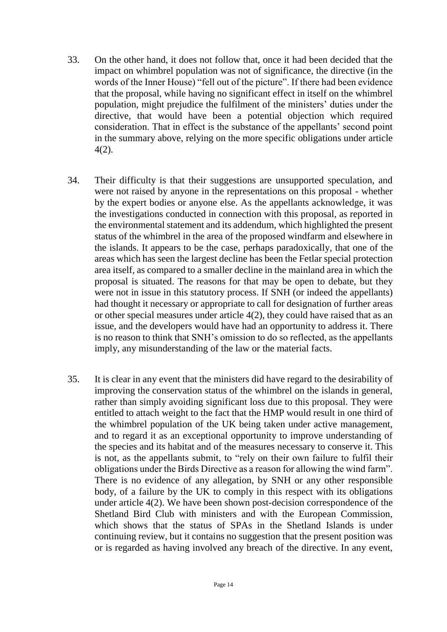- 33. On the other hand, it does not follow that, once it had been decided that the impact on whimbrel population was not of significance, the directive (in the words of the Inner House) "fell out of the picture". If there had been evidence that the proposal, while having no significant effect in itself on the whimbrel population, might prejudice the fulfilment of the ministers' duties under the directive, that would have been a potential objection which required consideration. That in effect is the substance of the appellants' second point in the summary above, relying on the more specific obligations under article 4(2).
- 34. Their difficulty is that their suggestions are unsupported speculation, and were not raised by anyone in the representations on this proposal - whether by the expert bodies or anyone else. As the appellants acknowledge, it was the investigations conducted in connection with this proposal, as reported in the environmental statement and its addendum, which highlighted the present status of the whimbrel in the area of the proposed windfarm and elsewhere in the islands. It appears to be the case, perhaps paradoxically, that one of the areas which has seen the largest decline has been the Fetlar special protection area itself, as compared to a smaller decline in the mainland area in which the proposal is situated. The reasons for that may be open to debate, but they were not in issue in this statutory process. If SNH (or indeed the appellants) had thought it necessary or appropriate to call for designation of further areas or other special measures under article 4(2), they could have raised that as an issue, and the developers would have had an opportunity to address it. There is no reason to think that SNH's omission to do so reflected, as the appellants imply, any misunderstanding of the law or the material facts.
- 35. It is clear in any event that the ministers did have regard to the desirability of improving the conservation status of the whimbrel on the islands in general, rather than simply avoiding significant loss due to this proposal. They were entitled to attach weight to the fact that the HMP would result in one third of the whimbrel population of the UK being taken under active management, and to regard it as an exceptional opportunity to improve understanding of the species and its habitat and of the measures necessary to conserve it. This is not, as the appellants submit, to "rely on their own failure to fulfil their obligations under the Birds Directive as a reason for allowing the wind farm". There is no evidence of any allegation, by SNH or any other responsible body, of a failure by the UK to comply in this respect with its obligations under article 4(2). We have been shown post-decision correspondence of the Shetland Bird Club with ministers and with the European Commission, which shows that the status of SPAs in the Shetland Islands is under continuing review, but it contains no suggestion that the present position was or is regarded as having involved any breach of the directive. In any event,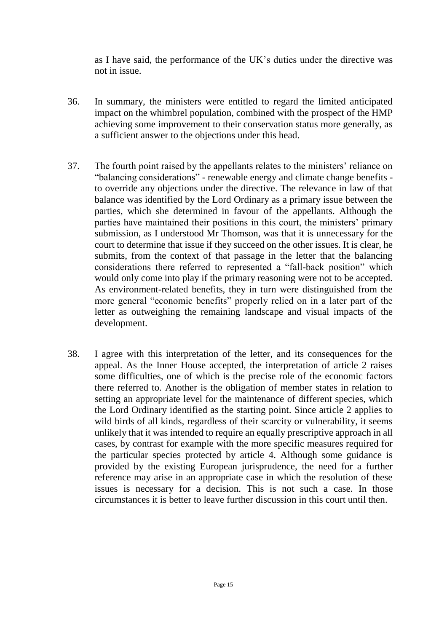as I have said, the performance of the UK's duties under the directive was not in issue.

- 36. In summary, the ministers were entitled to regard the limited anticipated impact on the whimbrel population, combined with the prospect of the HMP achieving some improvement to their conservation status more generally, as a sufficient answer to the objections under this head.
- 37. The fourth point raised by the appellants relates to the ministers' reliance on "balancing considerations" - renewable energy and climate change benefits to override any objections under the directive. The relevance in law of that balance was identified by the Lord Ordinary as a primary issue between the parties, which she determined in favour of the appellants. Although the parties have maintained their positions in this court, the ministers' primary submission, as I understood Mr Thomson, was that it is unnecessary for the court to determine that issue if they succeed on the other issues. It is clear, he submits, from the context of that passage in the letter that the balancing considerations there referred to represented a "fall-back position" which would only come into play if the primary reasoning were not to be accepted. As environment-related benefits, they in turn were distinguished from the more general "economic benefits" properly relied on in a later part of the letter as outweighing the remaining landscape and visual impacts of the development.
- 38. I agree with this interpretation of the letter, and its consequences for the appeal. As the Inner House accepted, the interpretation of article 2 raises some difficulties, one of which is the precise role of the economic factors there referred to. Another is the obligation of member states in relation to setting an appropriate level for the maintenance of different species, which the Lord Ordinary identified as the starting point. Since article 2 applies to wild birds of all kinds, regardless of their scarcity or vulnerability, it seems unlikely that it was intended to require an equally prescriptive approach in all cases, by contrast for example with the more specific measures required for the particular species protected by article 4. Although some guidance is provided by the existing European jurisprudence, the need for a further reference may arise in an appropriate case in which the resolution of these issues is necessary for a decision. This is not such a case. In those circumstances it is better to leave further discussion in this court until then.